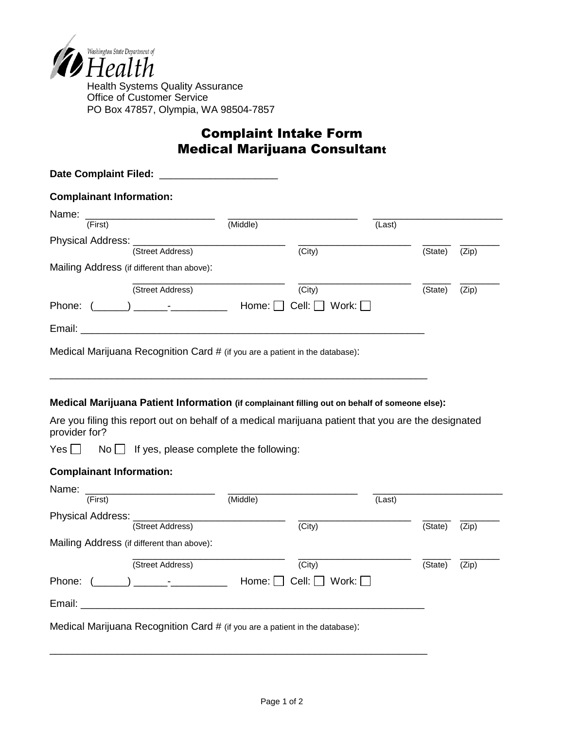

Health Systems Quality Assurance Office of Customer Service PO Box 47857, Olympia, WA 98504-7857

## Complaint Intake Form Medical Marijuana Consultant

| <b>Complainant Information:</b> |                                                                                                                                                                                                      |          |                           |              |         |       |
|---------------------------------|------------------------------------------------------------------------------------------------------------------------------------------------------------------------------------------------------|----------|---------------------------|--------------|---------|-------|
|                                 |                                                                                                                                                                                                      |          |                           |              |         |       |
| (First)                         |                                                                                                                                                                                                      | (Middle) |                           | (Last)       |         |       |
| Physical Address:               | (Street Address)                                                                                                                                                                                     |          | (City)                    |              | (State) | (Zip) |
|                                 | Mailing Address (if different than above):                                                                                                                                                           |          |                           |              |         |       |
|                                 | (Street Address)                                                                                                                                                                                     |          | (City)                    |              | (State) | (Zip) |
|                                 | Phone: $(\_\_\_\_) \_\_\_\_$                                                                                                                                                                         | Home: [  | Cell:                     | Work: $\Box$ |         |       |
|                                 |                                                                                                                                                                                                      |          |                           |              |         |       |
|                                 | Medical Marijuana Recognition Card # (if you are a patient in the database):                                                                                                                         |          |                           |              |         |       |
|                                 |                                                                                                                                                                                                      |          |                           |              |         |       |
|                                 | Medical Marijuana Patient Information (if complainant filling out on behalf of someone else):<br>Are you filing this report out on behalf of a medical marijuana patient that you are the designated |          |                           |              |         |       |
| provider for?<br>Yes            | $No$ If yes, please complete the following:                                                                                                                                                          |          |                           |              |         |       |
| <b>Complainant Information:</b> |                                                                                                                                                                                                      |          |                           |              |         |       |
| Name:<br>(First)                |                                                                                                                                                                                                      | (Middle) |                           | (Last)       |         |       |
| Physical Address: __________    |                                                                                                                                                                                                      |          |                           |              |         |       |
|                                 | (Street Address)                                                                                                                                                                                     |          | (City)                    |              | (State) | (Zip) |
|                                 | Mailing Address (if different than above):                                                                                                                                                           |          |                           |              |         |       |
|                                 | (Street Address)                                                                                                                                                                                     |          | (City)                    |              | (State) | (Zip) |
| Phone: (                        |                                                                                                                                                                                                      |          | Cell: $\Box$ Work: $\Box$ |              |         |       |

\_\_\_\_\_\_\_\_\_\_\_\_\_\_\_\_\_\_\_\_\_\_\_\_\_\_\_\_\_\_\_\_\_\_\_\_\_\_\_\_\_\_\_\_\_\_\_\_\_\_\_\_\_\_\_\_\_\_\_\_\_\_\_\_\_\_\_